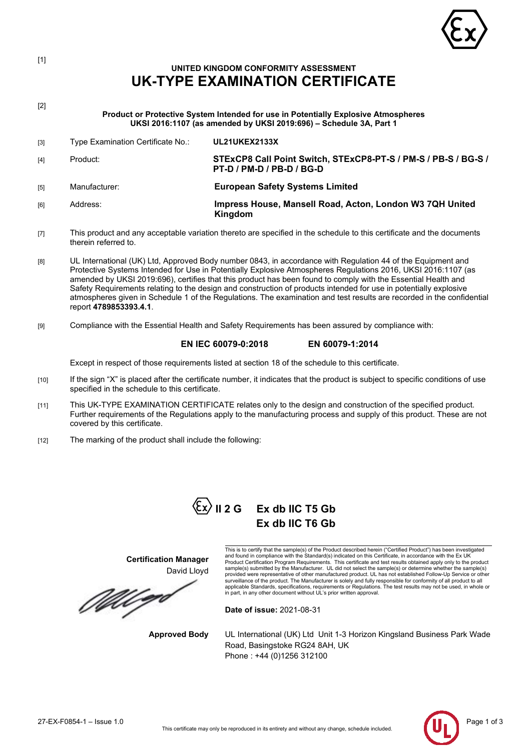

[1]

# **UNITED KINGDOM CONFORMITY ASSESSMENT UK-TYPE EXAMINATION CERTIFICATE**

| ٠ |
|---|
|   |

**Product or Protective System Intended for use in Potentially Explosive Atmospheres UKSI 2016:1107 (as amended by UKSI 2019:696) – Schedule 3A, Part 1**

| [3]  | Type Examination Certificate No.: | <b>UL21UKEX2133X</b>                                                                                                           |
|------|-----------------------------------|--------------------------------------------------------------------------------------------------------------------------------|
| [4]  | Product:                          | STExCP8 Call Point Switch, STExCP8-PT-S / PM-S / PB-S / BG-S /<br>PT-D / PM-D / PB-D / BG-D                                    |
| [5]  | Manufacturer:                     | <b>European Safety Systems Limited</b>                                                                                         |
| [6]  | Address:                          | Impress House, Mansell Road, Acton, London W3 7QH United<br>Kingdom                                                            |
| $-1$ |                                   | This was duck and any accountable produting themate are appellized in the palacebula to this possible to anal the depressments |

- [7] This product and any acceptable variation thereto are specified in the schedule to this certificate and the documents therein referred to.
- [8] UL International (UK) Ltd, Approved Body number 0843, in accordance with Regulation 44 of the Equipment and Protective Systems Intended for Use in Potentially Explosive Atmospheres Regulations 2016, UKSI 2016:1107 (as amended by UKSI 2019:696), certifies that this product has been found to comply with the Essential Health and Safety Requirements relating to the design and construction of products intended for use in potentially explosive atmospheres given in Schedule 1 of the Regulations. The examination and test results are recorded in the confidential report **4789853393.4.1**.
- [9] Compliance with the Essential Health and Safety Requirements has been assured by compliance with:

## **EN IEC 60079-0:2018 EN 60079-1:2014**

Except in respect of those requirements listed at section 18 of the schedule to this certificate.

- [10] If the sign "X" is placed after the certificate number, it indicates that the product is subject to specific conditions of use specified in the schedule to this certificate.
- [11] This UK-TYPE EXAMINATION CERTIFICATE relates only to the design and construction of the specified product. Further requirements of the Regulations apply to the manufacturing process and supply of this product. These are not covered by this certificate.
- [12] The marking of the product shall include the following:



This is to certify that the sample(s) of the Product described herein ("Certified Product") has been investigated<br>and found in compliance with the Standard(s) indicated on this Certificate, in accordance with the Ex UK<br>Pro provided were representative of other manufactured product. UL has not established Follow-Up Service or other<br>surveillance of the product. The Manufacturer is solely and fully responsible for conformity of all product to a in part, in any other document without UL's prior written approval.

**Date of issue:** 2021-08-31

**Approved Body** UL International (UK) Ltd Unit 1-3 Horizon Kingsland Business Park Wade Road, Basingstoke RG24 8AH, UK Phone : +44 (0)1256 312100



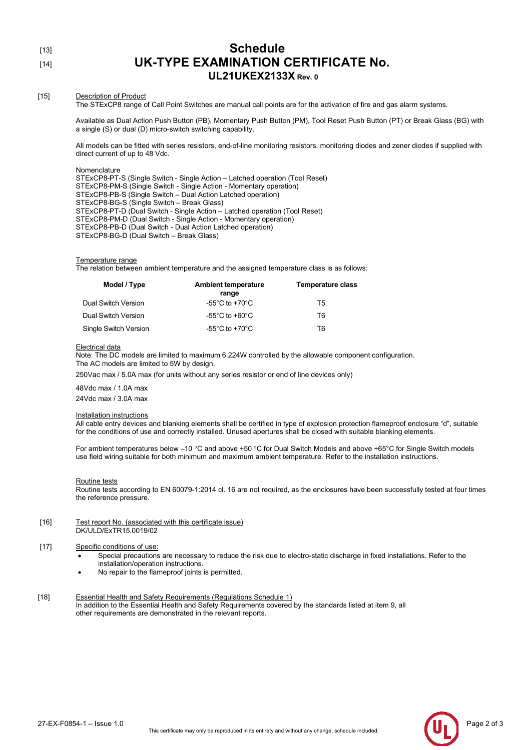| ۰ | I<br>×<br>۰. |  |
|---|--------------|--|
|   |              |  |

## Schedule [14] **UK-TYPE EXAMINATION CERTIFICATE No. UL21UKEX2133X Rev. 0**

## [15] Description of Product

The STExCP8 range of Call Point Switches are manual call points are for the activation of fire and gas alarm systems.

Available as Dual Action Push Button (PB), Momentary Push Button (PM), Tool Reset Push Button (PT) or Break Glass (BG) with a single (S) or dual (D) micro-switch switching capability.

All models can be fitted with series resistors, end-of-line monitoring resistors, monitoring diodes and zener diodes if supplied with direct current of up to 48 Vdc.

Nomenclature

STExCP8-PT-S (Single Switch - Single Action – Latched operation (Tool Reset) STExCP8-PM-S (Single Switch - Single Action - Momentary operation) STExCP8-PB-S (Single Switch – Dual Action Latched operation) STExCP8-BG-S (Single Switch – Break Glass) STExCP8-PT-D (Dual Switch - Single Action – Latched operation (Tool Reset) STExCP8-PM-D (Dual Switch - Single Action - Momentary operation) STExCP8-PB-D (Dual Switch - Dual Action Latched operation) STExCP8-BG-D (Dual Switch – Break Glass)

#### Temperature range

The relation between ambient temperature and the assigned temperature class is as follows:

| Model / Type          | <b>Ambient temperature</b><br>range  | <b>Temperature class</b> |
|-----------------------|--------------------------------------|--------------------------|
| Dual Switch Version   | -55 $^{\circ}$ C to +70 $^{\circ}$ C | Т5                       |
| Dual Switch Version   | $-55^{\circ}$ C to $+60^{\circ}$ C   | T6                       |
| Single Switch Version | -55 $^{\circ}$ C to +70 $^{\circ}$ C | Т6                       |

#### Electrical data

Note: The DC models are limited to maximum 6.224W controlled by the allowable component configuration. The AC models are limited to 5W by design.

250Vac max / 5.0A max (for units without any series resistor or end of line devices only)

48Vdc max / 1.0A max 24Vdc max / 3.0A max

#### Installation instructions

All cable entry devices and blanking elements shall be certified in type of explosion protection flameproof enclosure "d", suitable for the conditions of use and correctly installed. Unused apertures shall be closed with suitable blanking elements.

For ambient temperatures below –10 °C and above +50 °C for Dual Switch Models and above +65°C for Single Switch models use field wiring suitable for both minimum and maximum ambient temperature. Refer to the installation instructions.

#### Routine tests

Routine tests according to EN 60079-1:2014 cl. 16 are not required, as the enclosures have been successfully tested at four times the reference pressure.

#### [16] Test report No. (associated with this certificate issue) DK/ULD/ExTR15.0019/02

### [17] Specific conditions of use:

- Special precautions are necessary to reduce the risk due to electro-static discharge in fixed installations. Refer to the installation/operation instructions.
- No repair to the flameproof joints is permitted.
- [18] Essential Health and Safety Requirements (Regulations Schedule 1) In addition to the Essential Health and Safety Requirements covered by the standards listed at item 9, all other requirements are demonstrated in the relevant reports.